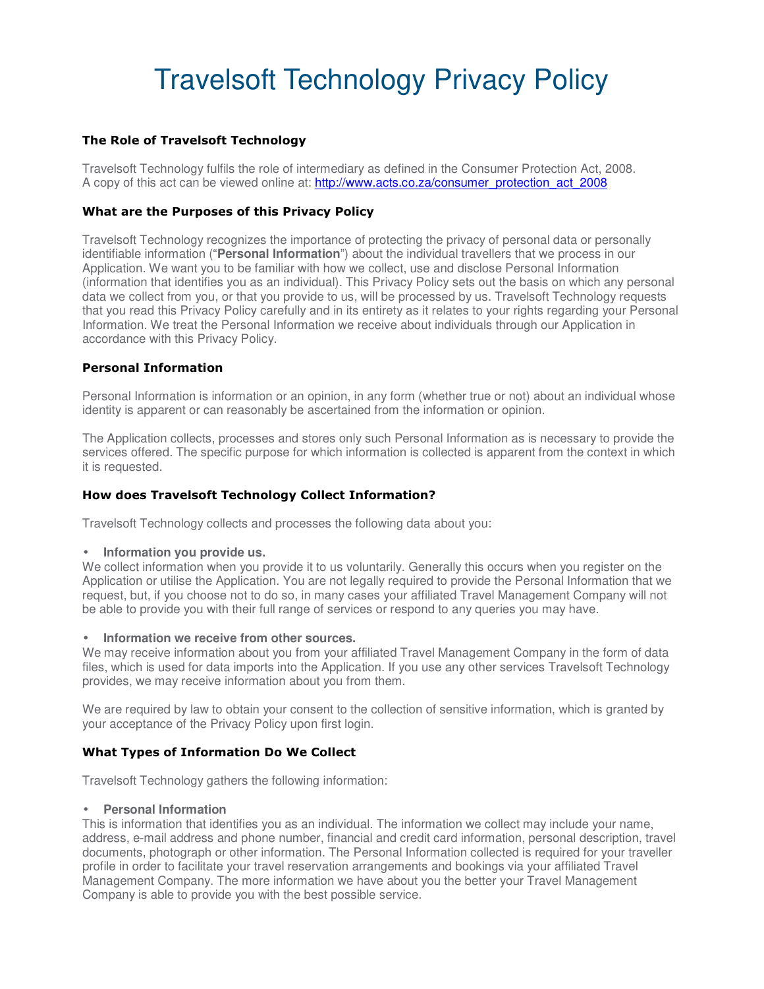# Travelsoft Technology Privacy Policy

# **The Role of Travelsoft Technology**

Travelsoft Technology fulfils the role of intermediary as defined in the Consumer Protection Act, 2008. A copy of this act can be viewed online at: http://www.acts.co.za/consumer\_protection\_act\_2008

# **What are the Purposes of this Privacy Policy**

Travelsoft Technology recognizes the importance of protecting the privacy of personal data or personally identifiable information ("**Personal Information**") about the individual travellers that we process in our Application. We want you to be familiar with how we collect, use and disclose Personal Information (information that identifies you as an individual). This Privacy Policy sets out the basis on which any personal data we collect from you, or that you provide to us, will be processed by us. Travelsoft Technology requests that you read this Privacy Policy carefully and in its entirety as it relates to your rights regarding your Personal Information. We treat the Personal Information we receive about individuals through our Application in accordance with this Privacy Policy.

#### **Personal Information**

Personal Information is information or an opinion, in any form (whether true or not) about an individual whose identity is apparent or can reasonably be ascertained from the information or opinion.

The Application collects, processes and stores only such Personal Information as is necessary to provide the services offered. The specific purpose for which information is collected is apparent from the context in which it is requested.

#### **How does Travelsoft Technology Collect Information?**

Travelsoft Technology collects and processes the following data about you:

#### • **Information you provide us.**

We collect information when you provide it to us voluntarily. Generally this occurs when you register on the Application or utilise the Application. You are not legally required to provide the Personal Information that we request, but, if you choose not to do so, in many cases your affiliated Travel Management Company will not be able to provide you with their full range of services or respond to any queries you may have.

#### • **Information we receive from other sources.**

We may receive information about you from your affiliated Travel Management Company in the form of data files, which is used for data imports into the Application. If you use any other services Travelsoft Technology provides, we may receive information about you from them.

We are required by law to obtain your consent to the collection of sensitive information, which is granted by your acceptance of the Privacy Policy upon first login.

# **What Types of Information Do We Collect**

Travelsoft Technology gathers the following information:

#### • **Personal Information**

This is information that identifies you as an individual. The information we collect may include your name, address, e-mail address and phone number, financial and credit card information, personal description, travel documents, photograph or other information. The Personal Information collected is required for your traveller profile in order to facilitate your travel reservation arrangements and bookings via your affiliated Travel Management Company. The more information we have about you the better your Travel Management Company is able to provide you with the best possible service.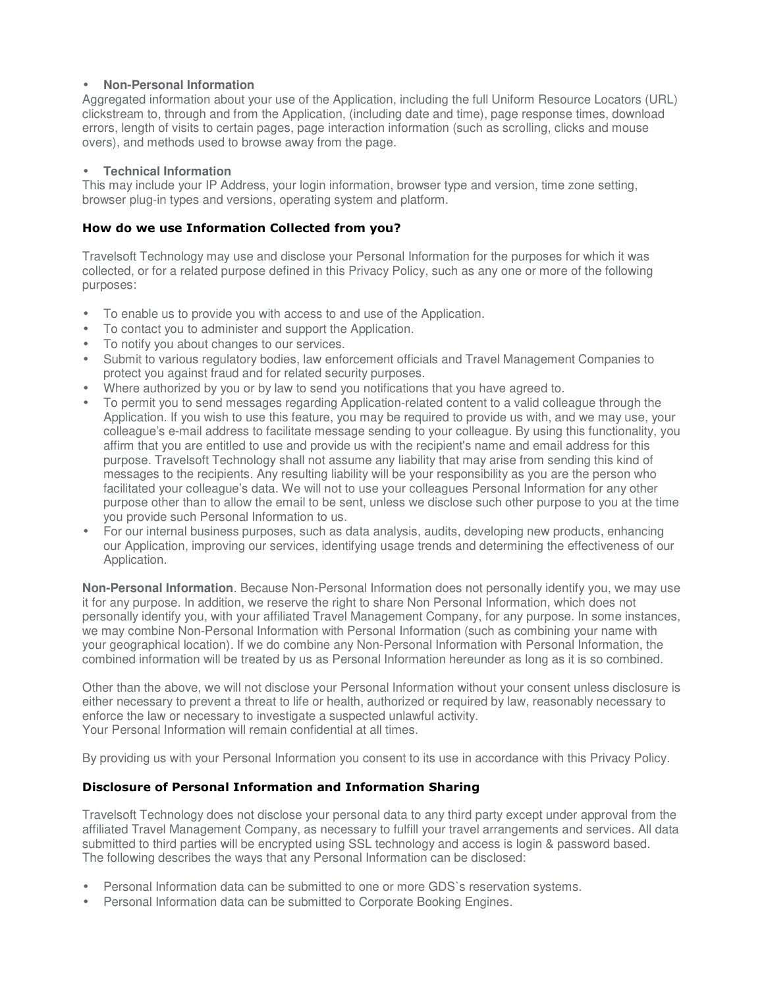#### • **Non-Personal Information**

Aggregated information about your use of the Application, including the full Uniform Resource Locators (URL) clickstream to, through and from the Application, (including date and time), page response times, download errors, length of visits to certain pages, page interaction information (such as scrolling, clicks and mouse overs), and methods used to browse away from the page.

#### • **Technical Information**

This may include your IP Address, your login information, browser type and version, time zone setting, browser plug-in types and versions, operating system and platform.

#### **How do we use Information Collected from you?**

Travelsoft Technology may use and disclose your Personal Information for the purposes for which it was collected, or for a related purpose defined in this Privacy Policy, such as any one or more of the following purposes:

- To enable us to provide you with access to and use of the Application.
- To contact you to administer and support the Application.
- To notify you about changes to our services.
- Submit to various regulatory bodies, law enforcement officials and Travel Management Companies to protect you against fraud and for related security purposes.
- Where authorized by you or by law to send you notifications that you have agreed to.
- To permit you to send messages regarding Application-related content to a valid colleague through the Application. If you wish to use this feature, you may be required to provide us with, and we may use, your colleague's e-mail address to facilitate message sending to your colleague. By using this functionality, you affirm that you are entitled to use and provide us with the recipient's name and email address for this purpose. Travelsoft Technology shall not assume any liability that may arise from sending this kind of messages to the recipients. Any resulting liability will be your responsibility as you are the person who facilitated your colleague's data. We will not to use your colleagues Personal Information for any other purpose other than to allow the email to be sent, unless we disclose such other purpose to you at the time you provide such Personal Information to us.
- For our internal business purposes, such as data analysis, audits, developing new products, enhancing our Application, improving our services, identifying usage trends and determining the effectiveness of our Application.

**Non-Personal Information**. Because Non-Personal Information does not personally identify you, we may use it for any purpose. In addition, we reserve the right to share Non Personal Information, which does not personally identify you, with your affiliated Travel Management Company, for any purpose. In some instances, we may combine Non-Personal Information with Personal Information (such as combining your name with your geographical location). If we do combine any Non-Personal Information with Personal Information, the combined information will be treated by us as Personal Information hereunder as long as it is so combined.

Other than the above, we will not disclose your Personal Information without your consent unless disclosure is either necessary to prevent a threat to life or health, authorized or required by law, reasonably necessary to enforce the law or necessary to investigate a suspected unlawful activity. Your Personal Information will remain confidential at all times.

By providing us with your Personal Information you consent to its use in accordance with this Privacy Policy.

# **Disclosure of Personal Information and Information Sharing**

Travelsoft Technology does not disclose your personal data to any third party except under approval from the affiliated Travel Management Company, as necessary to fulfill your travel arrangements and services. All data submitted to third parties will be encrypted using SSL technology and access is login & password based. The following describes the ways that any Personal Information can be disclosed:

- Personal Information data can be submitted to one or more GDS`s reservation systems.
- Personal Information data can be submitted to Corporate Booking Engines.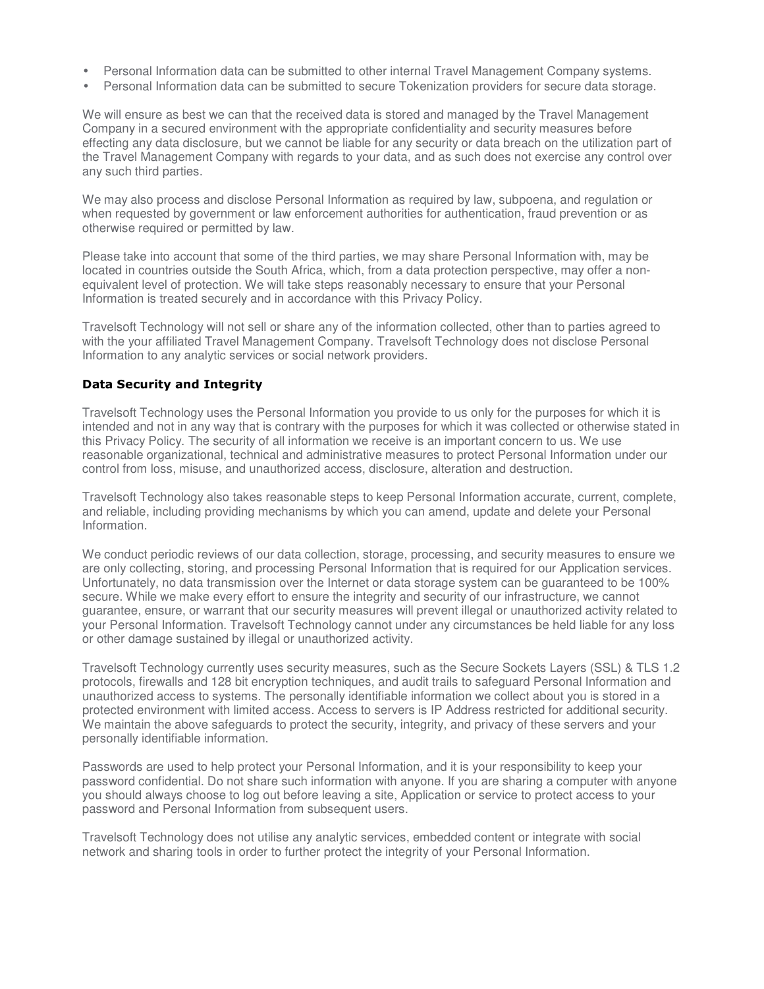- Personal Information data can be submitted to other internal Travel Management Company systems.
- Personal Information data can be submitted to secure Tokenization providers for secure data storage.

We will ensure as best we can that the received data is stored and managed by the Travel Management Company in a secured environment with the appropriate confidentiality and security measures before effecting any data disclosure, but we cannot be liable for any security or data breach on the utilization part of the Travel Management Company with regards to your data, and as such does not exercise any control over any such third parties.

We may also process and disclose Personal Information as required by law, subpoena, and regulation or when requested by government or law enforcement authorities for authentication, fraud prevention or as otherwise required or permitted by law.

Please take into account that some of the third parties, we may share Personal Information with, may be located in countries outside the South Africa, which, from a data protection perspective, may offer a nonequivalent level of protection. We will take steps reasonably necessary to ensure that your Personal Information is treated securely and in accordance with this Privacy Policy.

Travelsoft Technology will not sell or share any of the information collected, other than to parties agreed to with the your affiliated Travel Management Company. Travelsoft Technology does not disclose Personal Information to any analytic services or social network providers.

# **Data Security and Integrity**

Travelsoft Technology uses the Personal Information you provide to us only for the purposes for which it is intended and not in any way that is contrary with the purposes for which it was collected or otherwise stated in this Privacy Policy. The security of all information we receive is an important concern to us. We use reasonable organizational, technical and administrative measures to protect Personal Information under our control from loss, misuse, and unauthorized access, disclosure, alteration and destruction.

Travelsoft Technology also takes reasonable steps to keep Personal Information accurate, current, complete, and reliable, including providing mechanisms by which you can amend, update and delete your Personal Information.

We conduct periodic reviews of our data collection, storage, processing, and security measures to ensure we are only collecting, storing, and processing Personal Information that is required for our Application services. Unfortunately, no data transmission over the Internet or data storage system can be guaranteed to be 100% secure. While we make every effort to ensure the integrity and security of our infrastructure, we cannot guarantee, ensure, or warrant that our security measures will prevent illegal or unauthorized activity related to your Personal Information. Travelsoft Technology cannot under any circumstances be held liable for any loss or other damage sustained by illegal or unauthorized activity.

Travelsoft Technology currently uses security measures, such as the Secure Sockets Layers (SSL) & TLS 1.2 protocols, firewalls and 128 bit encryption techniques, and audit trails to safeguard Personal Information and unauthorized access to systems. The personally identifiable information we collect about you is stored in a protected environment with limited access. Access to servers is IP Address restricted for additional security. We maintain the above safeguards to protect the security, integrity, and privacy of these servers and your personally identifiable information.

Passwords are used to help protect your Personal Information, and it is your responsibility to keep your password confidential. Do not share such information with anyone. If you are sharing a computer with anyone you should always choose to log out before leaving a site, Application or service to protect access to your password and Personal Information from subsequent users.

Travelsoft Technology does not utilise any analytic services, embedded content or integrate with social network and sharing tools in order to further protect the integrity of your Personal Information.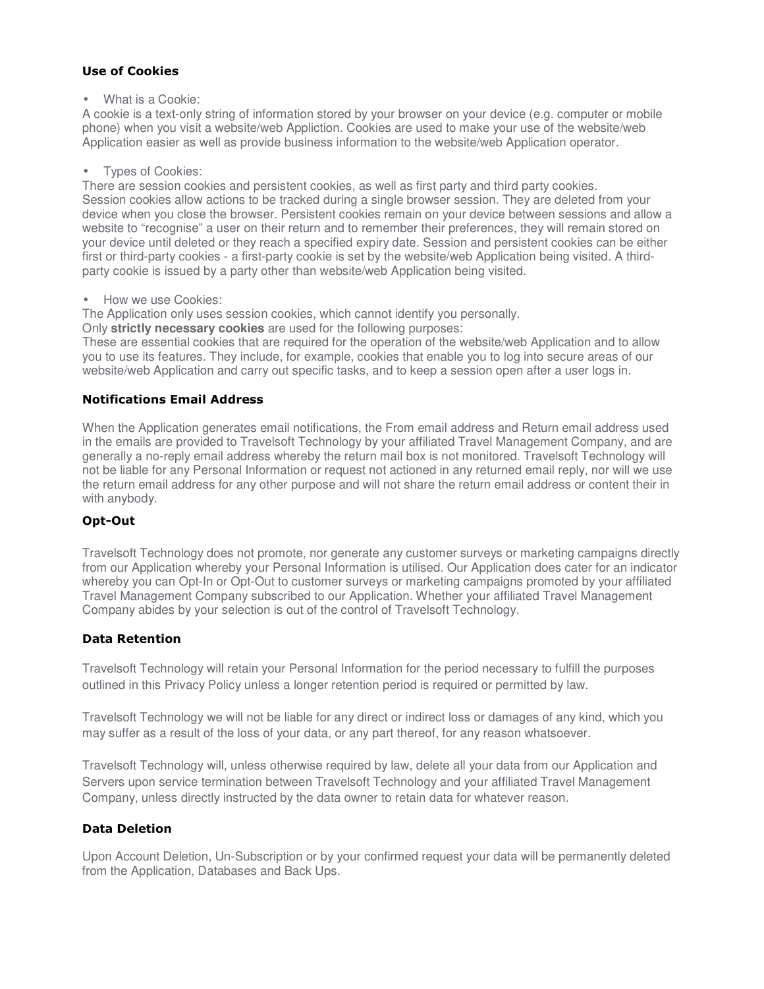# **Use of Cookies**

• What is a Cookie:

A cookie is a text-only string of information stored by your browser on your device (e.g. computer or mobile phone) when you visit a website/web Appliction. Cookies are used to make your use of the website/web Application easier as well as provide business information to the website/web Application operator.

#### • Types of Cookies:

There are session cookies and persistent cookies, as well as first party and third party cookies. Session cookies allow actions to be tracked during a single browser session. They are deleted from your device when you close the browser. Persistent cookies remain on your device between sessions and allow a website to "recognise" a user on their return and to remember their preferences, they will remain stored on your device until deleted or they reach a specified expiry date. Session and persistent cookies can be either first or third-party cookies - a first-party cookie is set by the website/web Application being visited. A thirdparty cookie is issued by a party other than website/web Application being visited.

• How we use Cookies:

The Application only uses session cookies, which cannot identify you personally.

Only **strictly necessary cookies** are used for the following purposes:

These are essential cookies that are required for the operation of the website/web Application and to allow you to use its features. They include, for example, cookies that enable you to log into secure areas of our website/web Application and carry out specific tasks, and to keep a session open after a user logs in.

# **Notifications Email Address**

When the Application generates email notifications, the From email address and Return email address used in the emails are provided to Travelsoft Technology by your affiliated Travel Management Company, and are generally a no-reply email address whereby the return mail box is not monitored. Travelsoft Technology will not be liable for any Personal Information or request not actioned in any returned email reply, nor will we use the return email address for any other purpose and will not share the return email address or content their in with anybody.

# **Opt-Out**

Travelsoft Technology does not promote, nor generate any customer surveys or marketing campaigns directly from our Application whereby your Personal Information is utilised. Our Application does cater for an indicator whereby you can Opt-In or Opt-Out to customer surveys or marketing campaigns promoted by your affiliated Travel Management Company subscribed to our Application. Whether your affiliated Travel Management Company abides by your selection is out of the control of Travelsoft Technology.

# **Data Retention**

Travelsoft Technology will retain your Personal Information for the period necessary to fulfill the purposes outlined in this Privacy Policy unless a longer retention period is required or permitted by law.

Travelsoft Technology we will not be liable for any direct or indirect loss or damages of any kind, which you may suffer as a result of the loss of your data, or any part thereof, for any reason whatsoever.

Travelsoft Technology will, unless otherwise required by law, delete all your data from our Application and Servers upon service termination between Travelsoft Technology and your affiliated Travel Management Company, unless directly instructed by the data owner to retain data for whatever reason.

# **Data Deletion**

Upon Account Deletion, Un-Subscription or by your confirmed request your data will be permanently deleted from the Application, Databases and Back Ups.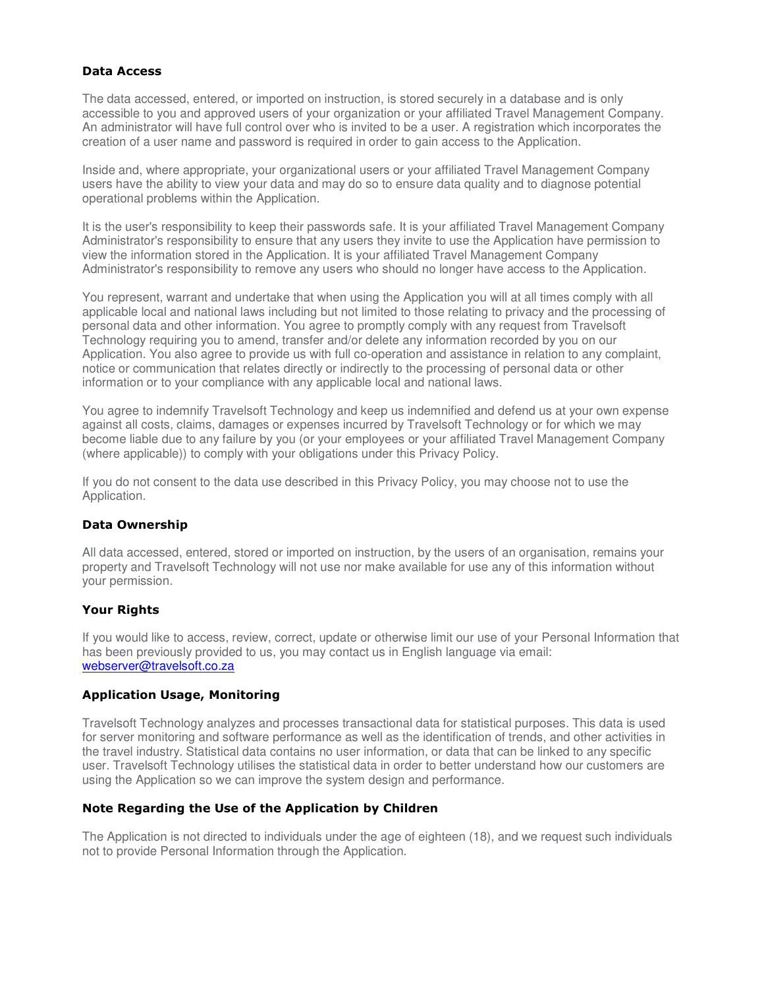#### **Data Access**

The data accessed, entered, or imported on instruction, is stored securely in a database and is only accessible to you and approved users of your organization or your affiliated Travel Management Company. An administrator will have full control over who is invited to be a user. A registration which incorporates the creation of a user name and password is required in order to gain access to the Application.

Inside and, where appropriate, your organizational users or your affiliated Travel Management Company users have the ability to view your data and may do so to ensure data quality and to diagnose potential operational problems within the Application.

It is the user's responsibility to keep their passwords safe. It is your affiliated Travel Management Company Administrator's responsibility to ensure that any users they invite to use the Application have permission to view the information stored in the Application. It is your affiliated Travel Management Company Administrator's responsibility to remove any users who should no longer have access to the Application.

You represent, warrant and undertake that when using the Application you will at all times comply with all applicable local and national laws including but not limited to those relating to privacy and the processing of personal data and other information. You agree to promptly comply with any request from Travelsoft Technology requiring you to amend, transfer and/or delete any information recorded by you on our Application. You also agree to provide us with full co-operation and assistance in relation to any complaint, notice or communication that relates directly or indirectly to the processing of personal data or other information or to your compliance with any applicable local and national laws.

You agree to indemnify Travelsoft Technology and keep us indemnified and defend us at your own expense against all costs, claims, damages or expenses incurred by Travelsoft Technology or for which we may become liable due to any failure by you (or your employees or your affiliated Travel Management Company (where applicable)) to comply with your obligations under this Privacy Policy.

If you do not consent to the data use described in this Privacy Policy, you may choose not to use the Application.

# **Data Ownership**

All data accessed, entered, stored or imported on instruction, by the users of an organisation, remains your property and Travelsoft Technology will not use nor make available for use any of this information without your permission.

# **Your Rights**

If you would like to access, review, correct, update or otherwise limit our use of your Personal Information that has been previously provided to us, you may contact us in English language via email: webserver@travelsoft.co.za

#### **Application Usage, Monitoring**

Travelsoft Technology analyzes and processes transactional data for statistical purposes. This data is used for server monitoring and software performance as well as the identification of trends, and other activities in the travel industry. Statistical data contains no user information, or data that can be linked to any specific user. Travelsoft Technology utilises the statistical data in order to better understand how our customers are using the Application so we can improve the system design and performance.

#### **Note Regarding the Use of the Application by Children**

The Application is not directed to individuals under the age of eighteen (18), and we request such individuals not to provide Personal Information through the Application.